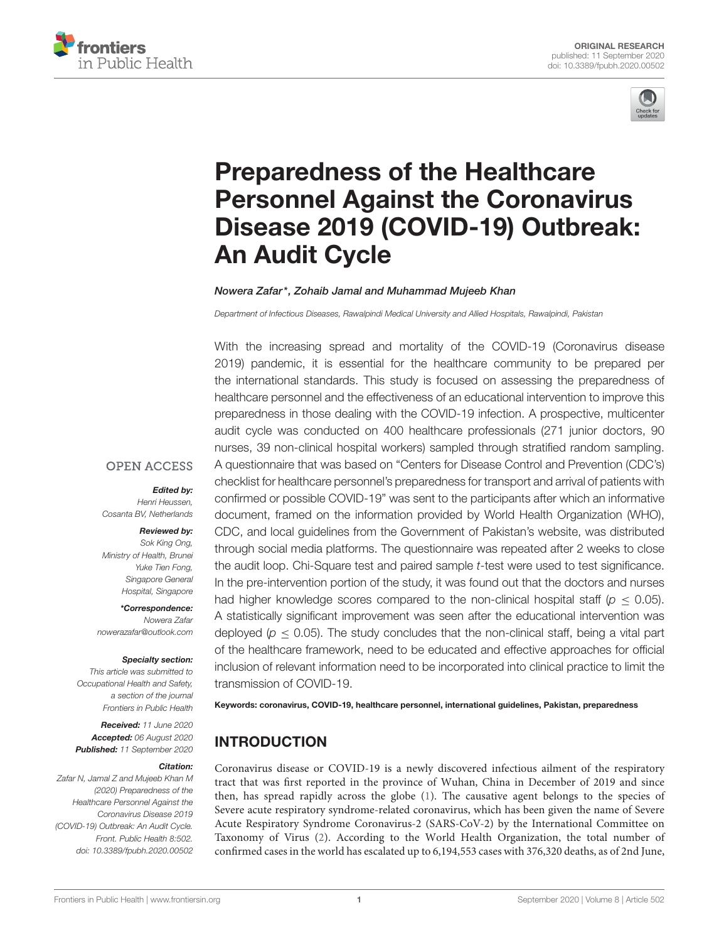



# Preparedness of the Healthcare Personnel Against the Coronavirus [Disease 2019 \(COVID-19\) Outbreak:](https://www.frontiersin.org/articles/10.3389/fpubh.2020.00502/full) An Audit Cycle

#### Nowera Zafar\*, Zohaib Jamal and Muhammad Mujeeb Khan

*Department of Infectious Diseases, Rawalpindi Medical University and Allied Hospitals, Rawalpindi, Pakistan*

With the increasing spread and mortality of the COVID-19 (Coronavirus disease 2019) pandemic, it is essential for the healthcare community to be prepared per the international standards. This study is focused on assessing the preparedness of healthcare personnel and the effectiveness of an educational intervention to improve this preparedness in those dealing with the COVID-19 infection. A prospective, multicenter audit cycle was conducted on 400 healthcare professionals (271 junior doctors, 90 nurses, 39 non-clinical hospital workers) sampled through stratified random sampling. A questionnaire that was based on "Centers for Disease Control and Prevention (CDC's) checklist for healthcare personnel's preparedness for transport and arrival of patients with confirmed or possible COVID-19" was sent to the participants after which an informative document, framed on the information provided by World Health Organization (WHO), CDC, and local guidelines from the Government of Pakistan's website, was distributed through social media platforms. The questionnaire was repeated after 2 weeks to close the audit loop. Chi-Square test and paired sample *t*-test were used to test significance. In the pre-intervention portion of the study, it was found out that the doctors and nurses had higher knowledge scores compared to the non-clinical hospital staff ( $p \le 0.05$ ). A statistically significant improvement was seen after the educational intervention was deployed ( $p < 0.05$ ). The study concludes that the non-clinical staff, being a vital part of the healthcare framework, need to be educated and effective approaches for official inclusion of relevant information need to be incorporated into clinical practice to limit the transmission of COVID-19.

Keywords: coronavirus, COVID-19, healthcare personnel, international guidelines, Pakistan, preparedness

# INTRODUCTION

Coronavirus disease or COVID-19 is a newly discovered infectious ailment of the respiratory tract that was first reported in the province of Wuhan, China in December of 2019 and since then, has spread rapidly across the globe [\(1\)](#page-5-0). The causative agent belongs to the species of Severe acute respiratory syndrome-related coronavirus, which has been given the name of Severe Acute Respiratory Syndrome Coronavirus-2 (SARS-CoV-2) by the International Committee on Taxonomy of Virus [\(2\)](#page-5-1). According to the World Health Organization, the total number of confirmed cases in the world has escalated up to 6,194,553 cases with 376,320 deaths, as of 2nd June,

#### **OPEN ACCESS**

Edited by: *Henri Heussen,*

*Cosanta BV, Netherlands*

#### Reviewed by:

*Sok King Ong, Ministry of Health, Brunei Yuke Tien Fong, Singapore General Hospital, Singapore*

\*Correspondence: *Nowera Zafar [nowerazafar@outlook.com](mailto:nowerazafar@outlook.com)*

#### Specialty section:

*This article was submitted to Occupational Health and Safety, a section of the journal Frontiers in Public Health*

Received: *11 June 2020* Accepted: *06 August 2020* Published: *11 September 2020*

#### Citation:

*Zafar N, Jamal Z and Mujeeb Khan M (2020) Preparedness of the Healthcare Personnel Against the Coronavirus Disease 2019 (COVID-19) Outbreak: An Audit Cycle. Front. Public Health 8:502. doi: [10.3389/fpubh.2020.00502](https://doi.org/10.3389/fpubh.2020.00502)*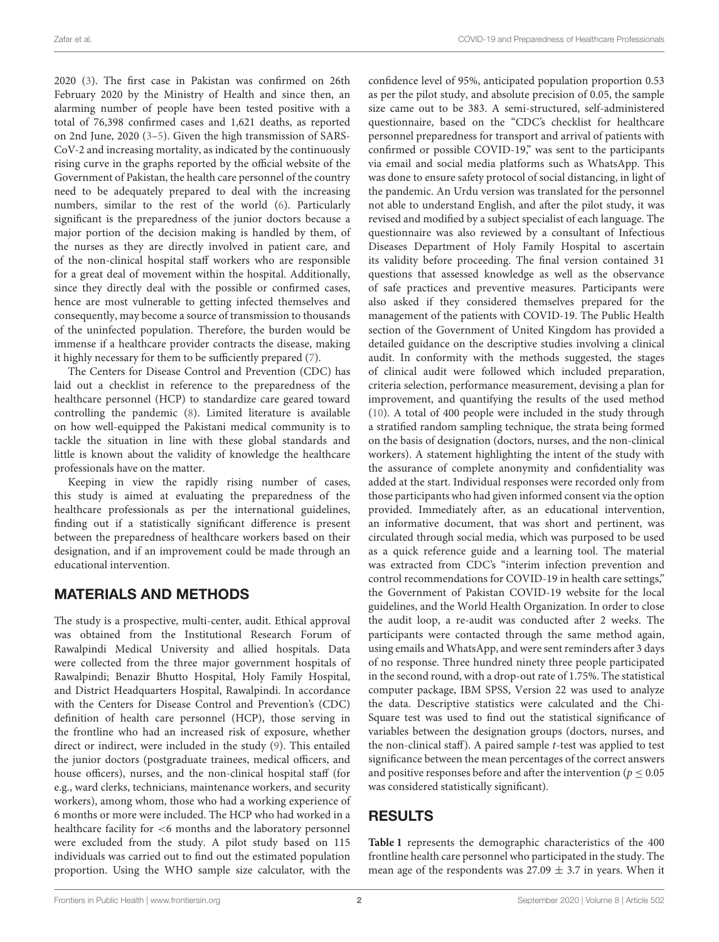2020 [\(3\)](#page-5-2). The first case in Pakistan was confirmed on 26th February 2020 by the Ministry of Health and since then, an alarming number of people have been tested positive with a total of 76,398 confirmed cases and 1,621 deaths, as reported on 2nd June, 2020 [\(3–](#page-5-2)[5\)](#page-5-3). Given the high transmission of SARS-CoV-2 and increasing mortality, as indicated by the continuously rising curve in the graphs reported by the official website of the Government of Pakistan, the health care personnel of the country need to be adequately prepared to deal with the increasing numbers, similar to the rest of the world [\(6\)](#page-5-4). Particularly significant is the preparedness of the junior doctors because a major portion of the decision making is handled by them, of the nurses as they are directly involved in patient care, and of the non-clinical hospital staff workers who are responsible for a great deal of movement within the hospital. Additionally, since they directly deal with the possible or confirmed cases, hence are most vulnerable to getting infected themselves and consequently, may become a source of transmission to thousands of the uninfected population. Therefore, the burden would be immense if a healthcare provider contracts the disease, making it highly necessary for them to be sufficiently prepared [\(7\)](#page-5-5).

The Centers for Disease Control and Prevention (CDC) has laid out a checklist in reference to the preparedness of the healthcare personnel (HCP) to standardize care geared toward controlling the pandemic [\(8\)](#page-5-6). Limited literature is available on how well-equipped the Pakistani medical community is to tackle the situation in line with these global standards and little is known about the validity of knowledge the healthcare professionals have on the matter.

Keeping in view the rapidly rising number of cases, this study is aimed at evaluating the preparedness of the healthcare professionals as per the international guidelines, finding out if a statistically significant difference is present between the preparedness of healthcare workers based on their designation, and if an improvement could be made through an educational intervention.

# MATERIALS AND METHODS

The study is a prospective, multi-center, audit. Ethical approval was obtained from the Institutional Research Forum of Rawalpindi Medical University and allied hospitals. Data were collected from the three major government hospitals of Rawalpindi; Benazir Bhutto Hospital, Holy Family Hospital, and District Headquarters Hospital, Rawalpindi. In accordance with the Centers for Disease Control and Prevention's (CDC) definition of health care personnel (HCP), those serving in the frontline who had an increased risk of exposure, whether direct or indirect, were included in the study [\(9\)](#page-5-7). This entailed the junior doctors (postgraduate trainees, medical officers, and house officers), nurses, and the non-clinical hospital staff (for e.g., ward clerks, technicians, maintenance workers, and security workers), among whom, those who had a working experience of 6 months or more were included. The HCP who had worked in a healthcare facility for <6 months and the laboratory personnel were excluded from the study. A pilot study based on 115 individuals was carried out to find out the estimated population proportion. Using the WHO sample size calculator, with the confidence level of 95%, anticipated population proportion 0.53 as per the pilot study, and absolute precision of 0.05, the sample size came out to be 383. A semi-structured, self-administered questionnaire, based on the "CDC's checklist for healthcare personnel preparedness for transport and arrival of patients with confirmed or possible COVID-19," was sent to the participants via email and social media platforms such as WhatsApp. This was done to ensure safety protocol of social distancing, in light of the pandemic. An Urdu version was translated for the personnel not able to understand English, and after the pilot study, it was revised and modified by a subject specialist of each language. The questionnaire was also reviewed by a consultant of Infectious Diseases Department of Holy Family Hospital to ascertain its validity before proceeding. The final version contained 31 questions that assessed knowledge as well as the observance of safe practices and preventive measures. Participants were also asked if they considered themselves prepared for the management of the patients with COVID-19. The Public Health section of the Government of United Kingdom has provided a detailed guidance on the descriptive studies involving a clinical audit. In conformity with the methods suggested, the stages of clinical audit were followed which included preparation, criteria selection, performance measurement, devising a plan for improvement, and quantifying the results of the used method [\(10\)](#page-5-8). A total of 400 people were included in the study through a stratified random sampling technique, the strata being formed on the basis of designation (doctors, nurses, and the non-clinical workers). A statement highlighting the intent of the study with the assurance of complete anonymity and confidentiality was added at the start. Individual responses were recorded only from those participants who had given informed consent via the option provided. Immediately after, as an educational intervention, an informative document, that was short and pertinent, was circulated through social media, which was purposed to be used as a quick reference guide and a learning tool. The material was extracted from CDC's "interim infection prevention and control recommendations for COVID-19 in health care settings," the Government of Pakistan COVID-19 website for the local guidelines, and the World Health Organization. In order to close the audit loop, a re-audit was conducted after 2 weeks. The participants were contacted through the same method again, using emails and WhatsApp, and were sent reminders after 3 days of no response. Three hundred ninety three people participated in the second round, with a drop-out rate of 1.75%. The statistical computer package, IBM SPSS, Version 22 was used to analyze the data. Descriptive statistics were calculated and the Chi-Square test was used to find out the statistical significance of variables between the designation groups (doctors, nurses, and the non-clinical staff). A paired sample  $t$ -test was applied to test significance between the mean percentages of the correct answers and positive responses before and after the intervention ( $p \leq 0.05$ ) was considered statistically significant).

# RESULTS

**[Table 1](#page-2-0)** represents the demographic characteristics of the 400 frontline health care personnel who participated in the study. The mean age of the respondents was  $27.09 \pm 3.7$  in years. When it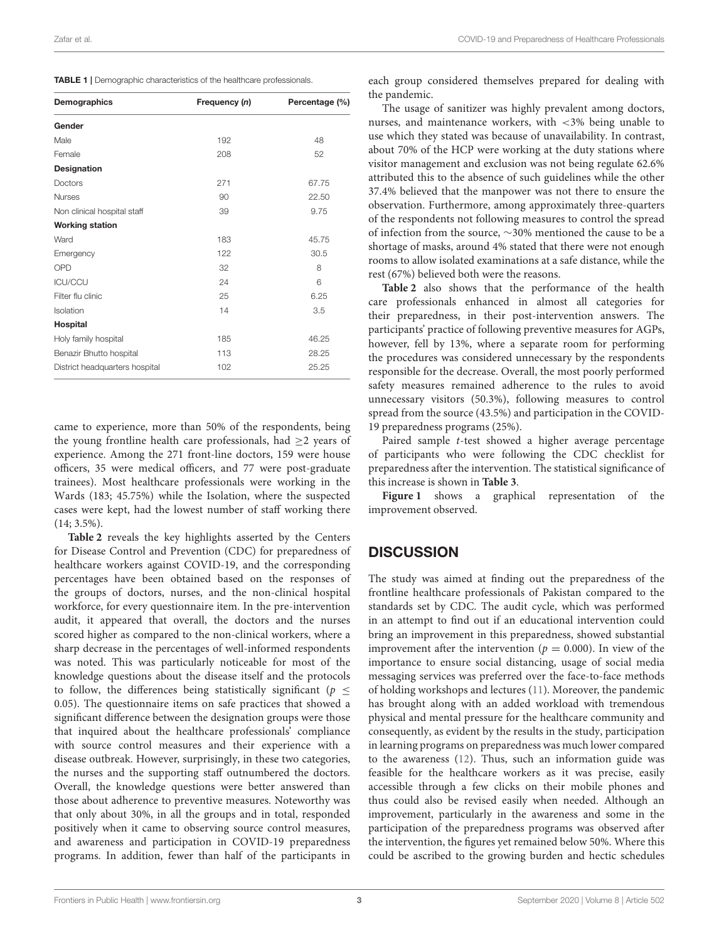<span id="page-2-0"></span>

| <b>TABLE 1</b>   Demographic characteristics of the healthcare professionals. |  |  |  |
|-------------------------------------------------------------------------------|--|--|--|
|-------------------------------------------------------------------------------|--|--|--|

| Demographics                   | Frequency (n) | Percentage (%) |  |
|--------------------------------|---------------|----------------|--|
| Gender                         |               |                |  |
| Male                           | 192           | 48             |  |
| Female                         | 208           | 52             |  |
| <b>Designation</b>             |               |                |  |
| Doctors                        | 271           | 67.75          |  |
| <b>Nurses</b>                  | 90            | 22.50          |  |
| Non clinical hospital staff    | 39            | 9.75           |  |
| <b>Working station</b>         |               |                |  |
| Ward                           | 183           | 45.75          |  |
| Emergency                      | 122           | 30.5           |  |
| OPD                            | 32            | 8              |  |
| <b>ICU/CCU</b>                 | 24            | 6              |  |
| Filter flu clinic              | 25            | 6.25           |  |
| Isolation                      | 14            | 3.5            |  |
| Hospital                       |               |                |  |
| Holy family hospital           | 185           | 46.25          |  |
| Benazir Bhutto hospital        | 113           | 28.25          |  |
| District headquarters hospital | 102           | 25.25          |  |

came to experience, more than 50% of the respondents, being the young frontline health care professionals, had  $\geq$ 2 years of experience. Among the 271 front-line doctors, 159 were house officers, 35 were medical officers, and 77 were post-graduate trainees). Most healthcare professionals were working in the Wards (183; 45.75%) while the Isolation, where the suspected cases were kept, had the lowest number of staff working there (14; 3.5%).

**[Table 2](#page-3-0)** reveals the key highlights asserted by the Centers for Disease Control and Prevention (CDC) for preparedness of healthcare workers against COVID-19, and the corresponding percentages have been obtained based on the responses of the groups of doctors, nurses, and the non-clinical hospital workforce, for every questionnaire item. In the pre-intervention audit, it appeared that overall, the doctors and the nurses scored higher as compared to the non-clinical workers, where a sharp decrease in the percentages of well-informed respondents was noted. This was particularly noticeable for most of the knowledge questions about the disease itself and the protocols to follow, the differences being statistically significant ( $p \leq$ 0.05). The questionnaire items on safe practices that showed a significant difference between the designation groups were those that inquired about the healthcare professionals' compliance with source control measures and their experience with a disease outbreak. However, surprisingly, in these two categories, the nurses and the supporting staff outnumbered the doctors. Overall, the knowledge questions were better answered than those about adherence to preventive measures. Noteworthy was that only about 30%, in all the groups and in total, responded positively when it came to observing source control measures, and awareness and participation in COVID-19 preparedness programs. In addition, fewer than half of the participants in each group considered themselves prepared for dealing with the pandemic.

The usage of sanitizer was highly prevalent among doctors, nurses, and maintenance workers, with <3% being unable to use which they stated was because of unavailability. In contrast, about 70% of the HCP were working at the duty stations where visitor management and exclusion was not being regulate 62.6% attributed this to the absence of such guidelines while the other 37.4% believed that the manpower was not there to ensure the observation. Furthermore, among approximately three-quarters of the respondents not following measures to control the spread of infection from the source, ∼30% mentioned the cause to be a shortage of masks, around 4% stated that there were not enough rooms to allow isolated examinations at a safe distance, while the rest (67%) believed both were the reasons.

**[Table 2](#page-3-0)** also shows that the performance of the health care professionals enhanced in almost all categories for their preparedness, in their post-intervention answers. The participants' practice of following preventive measures for AGPs, however, fell by 13%, where a separate room for performing the procedures was considered unnecessary by the respondents responsible for the decrease. Overall, the most poorly performed safety measures remained adherence to the rules to avoid unnecessary visitors (50.3%), following measures to control spread from the source (43.5%) and participation in the COVID-19 preparedness programs (25%).

Paired sample t-test showed a higher average percentage of participants who were following the CDC checklist for preparedness after the intervention. The statistical significance of this increase is shown in **[Table 3](#page-3-1)**.

**[Figure 1](#page-4-0)** shows a graphical representation of the improvement observed.

### **DISCUSSION**

The study was aimed at finding out the preparedness of the frontline healthcare professionals of Pakistan compared to the standards set by CDC. The audit cycle, which was performed in an attempt to find out if an educational intervention could bring an improvement in this preparedness, showed substantial improvement after the intervention ( $p = 0.000$ ). In view of the importance to ensure social distancing, usage of social media messaging services was preferred over the face-to-face methods of holding workshops and lectures [\(11\)](#page-5-9). Moreover, the pandemic has brought along with an added workload with tremendous physical and mental pressure for the healthcare community and consequently, as evident by the results in the study, participation in learning programs on preparedness was much lower compared to the awareness [\(12\)](#page-5-10). Thus, such an information guide was feasible for the healthcare workers as it was precise, easily accessible through a few clicks on their mobile phones and thus could also be revised easily when needed. Although an improvement, particularly in the awareness and some in the participation of the preparedness programs was observed after the intervention, the figures yet remained below 50%. Where this could be ascribed to the growing burden and hectic schedules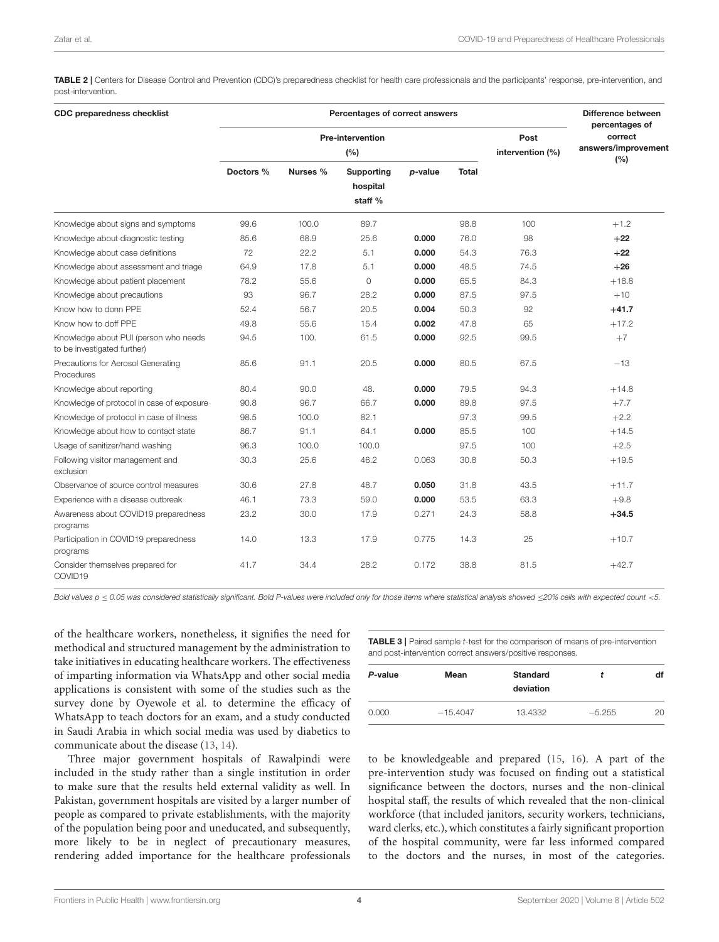<span id="page-3-0"></span>TABLE 2 | Centers for Disease Control and Prevention (CDC)'s preparedness checklist for health care professionals and the participants' response, pre-intervention, and post-intervention.

| <b>CDC</b> preparedness checklist                                    | Percentages of correct answers |          |                                   |         |                          | Difference between                                      |         |
|----------------------------------------------------------------------|--------------------------------|----------|-----------------------------------|---------|--------------------------|---------------------------------------------------------|---------|
|                                                                      | <b>Pre-intervention</b><br>(%) |          |                                   |         | Post<br>intervention (%) | percentages of<br>correct<br>answers/improvement<br>(%) |         |
|                                                                      | Doctors %                      | Nurses % | Supporting<br>hospital<br>staff % | p-value | <b>Total</b>             |                                                         |         |
| Knowledge about signs and symptoms                                   | 99.6                           | 100.0    | 89.7                              |         | 98.8                     | 100                                                     | $+1.2$  |
| Knowledge about diagnostic testing                                   | 85.6                           | 68.9     | 25.6                              | 0.000   | 76.0                     | 98                                                      | $+22$   |
| Knowledge about case definitions                                     | 72                             | 22.2     | 5.1                               | 0.000   | 54.3                     | 76.3                                                    | $+22$   |
| Knowledge about assessment and triage                                | 64.9                           | 17.8     | 5.1                               | 0.000   | 48.5                     | 74.5                                                    | $+26$   |
| Knowledge about patient placement                                    | 78.2                           | 55.6     | $\circ$                           | 0.000   | 65.5                     | 84.3                                                    | $+18.8$ |
| Knowledge about precautions                                          | 93                             | 96.7     | 28.2                              | 0.000   | 87.5                     | 97.5                                                    | $+10$   |
| Know how to donn PPE                                                 | 52.4                           | 56.7     | 20.5                              | 0.004   | 50.3                     | 92                                                      | $+41.7$ |
| Know how to doff PPE                                                 | 49.8                           | 55.6     | 15.4                              | 0.002   | 47.8                     | 65                                                      | $+17.2$ |
| Knowledge about PUI (person who needs<br>to be investigated further) | 94.5                           | 100.     | 61.5                              | 0.000   | 92.5                     | 99.5                                                    | $+7$    |
| Precautions for Aerosol Generating<br>Procedures                     | 85.6                           | 91.1     | 20.5                              | 0.000   | 80.5                     | 67.5                                                    | $-13$   |
| Knowledge about reporting                                            | 80.4                           | 90.0     | 48.                               | 0.000   | 79.5                     | 94.3                                                    | $+14.8$ |
| Knowledge of protocol in case of exposure                            | 90.8                           | 96.7     | 66.7                              | 0.000   | 89.8                     | 97.5                                                    | $+7.7$  |
| Knowledge of protocol in case of illness                             | 98.5                           | 100.0    | 82.1                              |         | 97.3                     | 99.5                                                    | $+2.2$  |
| Knowledge about how to contact state                                 | 86.7                           | 91.1     | 64.1                              | 0.000   | 85.5                     | 100                                                     | $+14.5$ |
| Usage of sanitizer/hand washing                                      | 96.3                           | 100.0    | 100.0                             |         | 97.5                     | 100                                                     | $+2.5$  |
| Following visitor management and<br>exclusion                        | 30.3                           | 25.6     | 46.2                              | 0.063   | 30.8                     | 50.3                                                    | $+19.5$ |
| Observance of source control measures                                | 30.6                           | 27.8     | 48.7                              | 0.050   | 31.8                     | 43.5                                                    | $+11.7$ |
| Experience with a disease outbreak                                   | 46.1                           | 73.3     | 59.0                              | 0.000   | 53.5                     | 63.3                                                    | $+9.8$  |
| Awareness about COVID19 preparedness<br>programs                     | 23.2                           | 30.0     | 17.9                              | 0.271   | 24.3                     | 58.8                                                    | $+34.5$ |
| Participation in COVID19 preparedness<br>programs                    | 14.0                           | 13.3     | 17.9                              | 0.775   | 14.3                     | 25                                                      | $+10.7$ |
| Consider themselves prepared for<br>COVID19                          | 41.7                           | 34.4     | 28.2                              | 0.172   | 38.8                     | 81.5                                                    | $+42.7$ |

*Bold values p* ≤ 0.05 was considered statistically significant. Bold P-values were included only for those items where statistical analysis showed ≤20% cells with expected count <5.

of the healthcare workers, nonetheless, it signifies the need for methodical and structured management by the administration to take initiatives in educating healthcare workers. The effectiveness of imparting information via WhatsApp and other social media applications is consistent with some of the studies such as the survey done by Oyewole et al. to determine the efficacy of WhatsApp to teach doctors for an exam, and a study conducted in Saudi Arabia in which social media was used by diabetics to communicate about the disease [\(13,](#page-5-11) [14\)](#page-5-12).

Three major government hospitals of Rawalpindi were included in the study rather than a single institution in order to make sure that the results held external validity as well. In Pakistan, government hospitals are visited by a larger number of people as compared to private establishments, with the majority of the population being poor and uneducated, and subsequently, more likely to be in neglect of precautionary measures, rendering added importance for the healthcare professionals <span id="page-3-1"></span>TABLE 3 | Paired sample *t*-test for the comparison of means of pre-intervention and post-intervention correct answers/positive responses.

| P-value | Mean       | <b>Standard</b><br>deviation |          | df |
|---------|------------|------------------------------|----------|----|
| 0.000   | $-15.4047$ | 13.4332                      | $-5.255$ | 20 |

to be knowledgeable and prepared [\(15,](#page-5-13) [16\)](#page-5-14). A part of the pre-intervention study was focused on finding out a statistical significance between the doctors, nurses and the non-clinical hospital staff, the results of which revealed that the non-clinical workforce (that included janitors, security workers, technicians, ward clerks, etc.), which constitutes a fairly significant proportion of the hospital community, were far less informed compared to the doctors and the nurses, in most of the categories.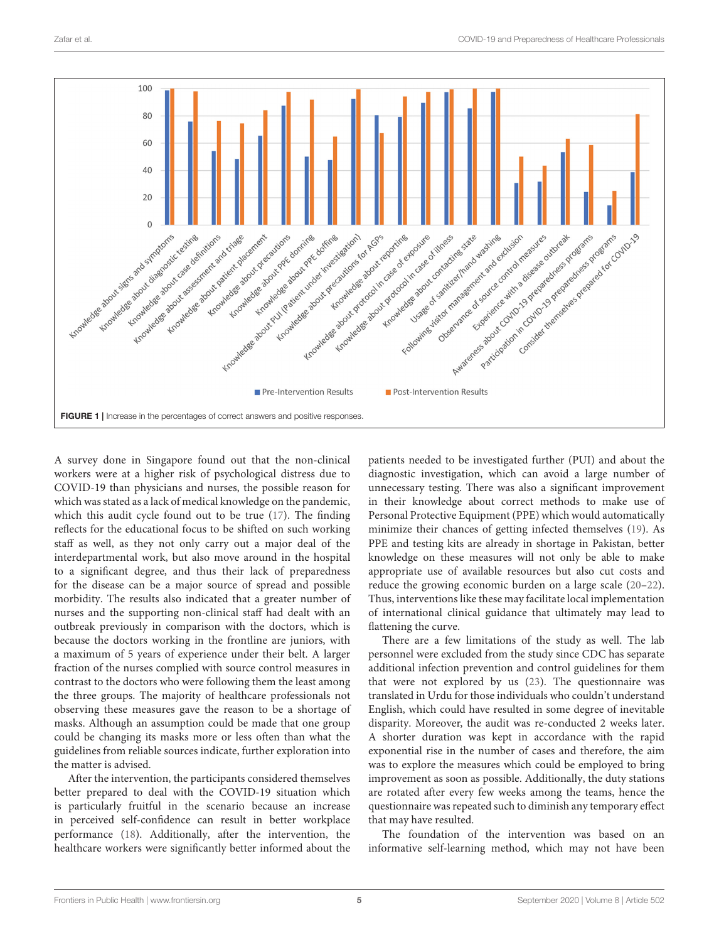

<span id="page-4-0"></span>A survey done in Singapore found out that the non-clinical workers were at a higher risk of psychological distress due to COVID-19 than physicians and nurses, the possible reason for which was stated as a lack of medical knowledge on the pandemic, which this audit cycle found out to be true [\(17\)](#page-5-15). The finding reflects for the educational focus to be shifted on such working staff as well, as they not only carry out a major deal of the interdepartmental work, but also move around in the hospital to a significant degree, and thus their lack of preparedness for the disease can be a major source of spread and possible morbidity. The results also indicated that a greater number of nurses and the supporting non-clinical staff had dealt with an outbreak previously in comparison with the doctors, which is because the doctors working in the frontline are juniors, with a maximum of 5 years of experience under their belt. A larger fraction of the nurses complied with source control measures in contrast to the doctors who were following them the least among the three groups. The majority of healthcare professionals not observing these measures gave the reason to be a shortage of masks. Although an assumption could be made that one group could be changing its masks more or less often than what the guidelines from reliable sources indicate, further exploration into the matter is advised.

After the intervention, the participants considered themselves better prepared to deal with the COVID-19 situation which is particularly fruitful in the scenario because an increase in perceived self-confidence can result in better workplace performance [\(18\)](#page-5-16). Additionally, after the intervention, the healthcare workers were significantly better informed about the patients needed to be investigated further (PUI) and about the diagnostic investigation, which can avoid a large number of unnecessary testing. There was also a significant improvement in their knowledge about correct methods to make use of Personal Protective Equipment (PPE) which would automatically minimize their chances of getting infected themselves [\(19\)](#page-6-0). As PPE and testing kits are already in shortage in Pakistan, better knowledge on these measures will not only be able to make appropriate use of available resources but also cut costs and reduce the growing economic burden on a large scale [\(20–](#page-6-1)[22\)](#page-6-2). Thus, interventions like these may facilitate local implementation of international clinical guidance that ultimately may lead to flattening the curve.

There are a few limitations of the study as well. The lab personnel were excluded from the study since CDC has separate additional infection prevention and control guidelines for them that were not explored by us [\(23\)](#page-6-3). The questionnaire was translated in Urdu for those individuals who couldn't understand English, which could have resulted in some degree of inevitable disparity. Moreover, the audit was re-conducted 2 weeks later. A shorter duration was kept in accordance with the rapid exponential rise in the number of cases and therefore, the aim was to explore the measures which could be employed to bring improvement as soon as possible. Additionally, the duty stations are rotated after every few weeks among the teams, hence the questionnaire was repeated such to diminish any temporary effect that may have resulted.

The foundation of the intervention was based on an informative self-learning method, which may not have been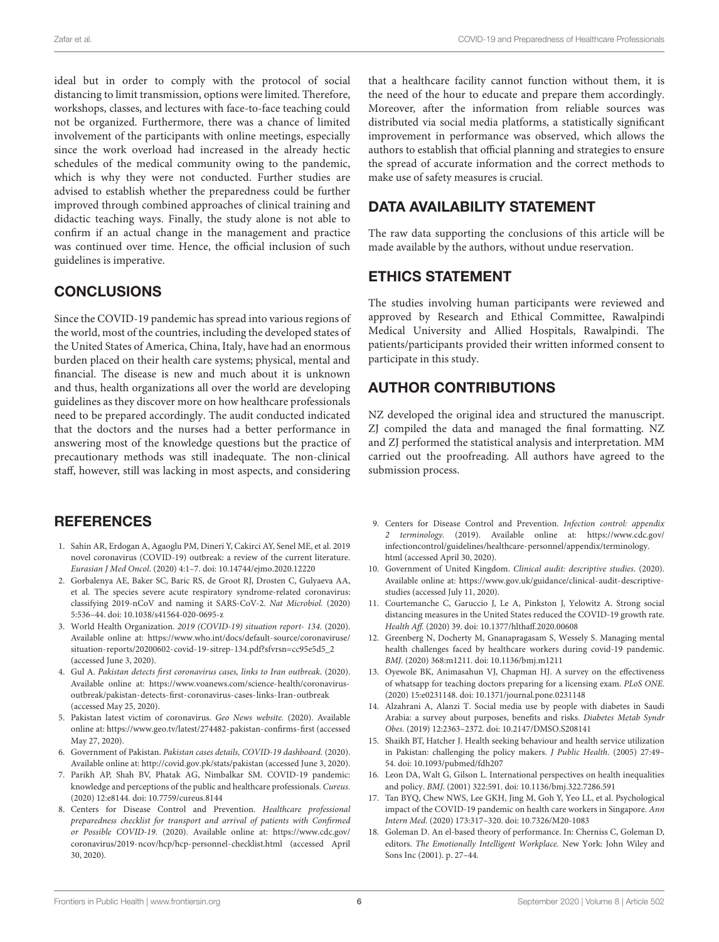ideal but in order to comply with the protocol of social distancing to limit transmission, options were limited. Therefore, workshops, classes, and lectures with face-to-face teaching could not be organized. Furthermore, there was a chance of limited involvement of the participants with online meetings, especially since the work overload had increased in the already hectic schedules of the medical community owing to the pandemic, which is why they were not conducted. Further studies are advised to establish whether the preparedness could be further improved through combined approaches of clinical training and didactic teaching ways. Finally, the study alone is not able to confirm if an actual change in the management and practice was continued over time. Hence, the official inclusion of such guidelines is imperative.

### **CONCLUSIONS**

Since the COVID-19 pandemic has spread into various regions of the world, most of the countries, including the developed states of the United States of America, China, Italy, have had an enormous burden placed on their health care systems; physical, mental and financial. The disease is new and much about it is unknown and thus, health organizations all over the world are developing guidelines as they discover more on how healthcare professionals need to be prepared accordingly. The audit conducted indicated that the doctors and the nurses had a better performance in answering most of the knowledge questions but the practice of precautionary methods was still inadequate. The non-clinical staff, however, still was lacking in most aspects, and considering

### **REFERENCES**

- <span id="page-5-0"></span>1. Sahin AR, Erdogan A, Agaoglu PM, Dineri Y, Cakirci AY, Senel ME, et al. 2019 novel coronavirus (COVID-19) outbreak: a review of the current literature. Eurasian J Med Oncol. (2020) 4:1–7. doi: [10.14744/ejmo.2020.12220](https://doi.org/10.14744/ejmo.2020.12220)
- <span id="page-5-1"></span>2. Gorbalenya AE, Baker SC, Baric RS, de Groot RJ, Drosten C, Gulyaeva AA, et al. The species severe acute respiratory syndrome-related coronavirus: classifying 2019-nCoV and naming it SARS-CoV-2. Nat Microbiol. (2020) 5:536–44. doi: [10.1038/s41564-020-0695-z](https://doi.org/10.1038/s41564-020-0695-z)
- <span id="page-5-2"></span>3. World Health Organization. 2019 (COVID-19) situation report- 134. (2020). Available online at: [https://www.who.int/docs/default-source/coronaviruse/](https://www.who.int/docs/default-source/coronaviruse/situation-reports/20200602-covid-19-sitrep-134.pdf?sfvrsn=cc95e5d5_2) [situation-reports/20200602-covid-19-sitrep-134.pdf?sfvrsn=cc95e5d5\\_2](https://www.who.int/docs/default-source/coronaviruse/situation-reports/20200602-covid-19-sitrep-134.pdf?sfvrsn=cc95e5d5_2) (accessed June 3, 2020).
- 4. Gul A. Pakistan detects first coronavirus cases, links to Iran outbreak. (2020). Available online at: [https://www.voanews.com/science-health/coronavirus](https://www.voanews.com/science-health/coronavirus-outbreak/pakistan-detects-first-coronavirus-cases-links-Iran-outbreak)[outbreak/pakistan-detects-first-coronavirus-cases-links-Iran-outbreak](https://www.voanews.com/science-health/coronavirus-outbreak/pakistan-detects-first-coronavirus-cases-links-Iran-outbreak) (accessed May 25, 2020).
- <span id="page-5-3"></span>5. Pakistan latest victim of coronavirus. Geo News website. (2020). Available online at:<https://www.geo.tv/latest/274482-pakistan-confirms-first> (accessed May 27, 2020).
- <span id="page-5-4"></span>6. Government of Pakistan. Pakistan cases details, COVID-19 dashboard. (2020). Available online at:<http://covid.gov.pk/stats/pakistan> (accessed June 3, 2020).
- <span id="page-5-5"></span>7. Parikh AP, Shah BV, Phatak AG, Nimbalkar SM. COVID-19 pandemic: knowledge and perceptions of the public and healthcare professionals. Cureus. (2020) 12:e8144. doi: [10.7759/cureus.8144](https://doi.org/10.7759/cureus.8144)
- <span id="page-5-6"></span>8. Centers for Disease Control and Prevention. Healthcare professional preparedness checklist for transport and arrival of patients with Confirmed or Possible COVID-19. (2020). Available online at: [https://www.cdc.gov/](https://www.cdc.gov/coronavirus/2019-ncov/hcp/hcp-personnel-checklist.html) [coronavirus/2019-ncov/hcp/hcp-personnel-checklist.html](https://www.cdc.gov/coronavirus/2019-ncov/hcp/hcp-personnel-checklist.html) (accessed April 30, 2020).

that a healthcare facility cannot function without them, it is the need of the hour to educate and prepare them accordingly. Moreover, after the information from reliable sources was distributed via social media platforms, a statistically significant improvement in performance was observed, which allows the authors to establish that official planning and strategies to ensure the spread of accurate information and the correct methods to make use of safety measures is crucial.

## DATA AVAILABILITY STATEMENT

The raw data supporting the conclusions of this article will be made available by the authors, without undue reservation.

### ETHICS STATEMENT

The studies involving human participants were reviewed and approved by Research and Ethical Committee, Rawalpindi Medical University and Allied Hospitals, Rawalpindi. The patients/participants provided their written informed consent to participate in this study.

# AUTHOR CONTRIBUTIONS

NZ developed the original idea and structured the manuscript. ZJ compiled the data and managed the final formatting. NZ and ZJ performed the statistical analysis and interpretation. MM carried out the proofreading. All authors have agreed to the submission process.

- <span id="page-5-7"></span>9. Centers for Disease Control and Prevention. Infection control: appendix 2 terminology. (2019). Available online at: [https://www.cdc.gov/](https://www.cdc.gov/infectioncontrol/guidelines/healthcare-personnel/appendix/terminology.html) [infectioncontrol/guidelines/healthcare-personnel/appendix/terminology.](https://www.cdc.gov/infectioncontrol/guidelines/healthcare-personnel/appendix/terminology.html) [html](https://www.cdc.gov/infectioncontrol/guidelines/healthcare-personnel/appendix/terminology.html) (accessed April 30, 2020).
- <span id="page-5-8"></span>10. Government of United Kingdom. Clinical audit: descriptive studies. (2020). Available online at: [https://www.gov.uk/guidance/clinical-audit-descriptive](https://www.gov.uk/guidance/clinical-audit-descriptive-studies)[studies](https://www.gov.uk/guidance/clinical-audit-descriptive-studies) (accessed July 11, 2020).
- <span id="page-5-9"></span>11. Courtemanche C, Garuccio J, Le A, Pinkston J, Yelowitz A. Strong social distancing measures in the United States reduced the COVID-19 growth rate. Health Aff. (2020) 39. doi: [10.1377/hlthaff.2020.00608](https://doi.org/10.1377/hlthaff.2020.00608)
- <span id="page-5-10"></span>12. Greenberg N, Docherty M, Gnanapragasam S, Wessely S. Managing mental health challenges faced by healthcare workers during covid-19 pandemic. BMJ. (2020) 368:m1211. doi: [10.1136/bmj.m1211](https://doi.org/10.1136/bmj.m1211)
- <span id="page-5-11"></span>13. Oyewole BK, Animasahun VJ, Chapman HJ. A survey on the effectiveness of whatsapp for teaching doctors preparing for a licensing exam. PLoS ONE. (2020) 15:e0231148. doi: [10.1371/journal.pone.0231148](https://doi.org/10.1371/journal.pone.0231148)
- <span id="page-5-12"></span>14. Alzahrani A, Alanzi T. Social media use by people with diabetes in Saudi Arabia: a survey about purposes, benefits and risks. Diabetes Metab Syndr Obes. (2019) 12:2363–2372. doi: [10.2147/DMSO.S208141](https://doi.org/10.2147/DMSO.S208141)
- <span id="page-5-13"></span>15. Shaikh BT, Hatcher J. Health seeking behaviour and health service utilization in Pakistan: challenging the policy makers. J Public Health. (2005) 27:49– 54. doi: [10.1093/pubmed/fdh207](https://doi.org/10.1093/pubmed/fdh207)
- <span id="page-5-14"></span>16. Leon DA, Walt G, Gilson L. International perspectives on health inequalities and policy. BMJ. (2001) 322:591. doi: [10.1136/bmj.322.7286.591](https://doi.org/10.1136/bmj.322.7286.591)
- <span id="page-5-15"></span>17. Tan BYQ, Chew NWS, Lee GKH, Jing M, Goh Y, Yeo LL, et al. Psychological impact of the COVID-19 pandemic on health care workers in Singapore. Ann Intern Med. (2020) 173:317–320. doi: [10.7326/M20-1083](https://doi.org/10.7326/M20-1083)
- <span id="page-5-16"></span>18. Goleman D. An el-based theory of performance. In: Cherniss C, Goleman D, editors. The Emotionally Intelligent Workplace. New York: John Wiley and Sons Inc (2001). p. 27–44.